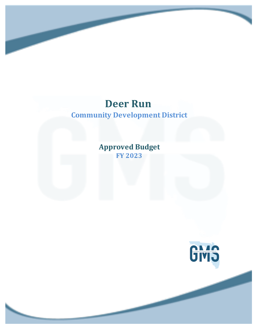**Approved Budget FY 2023**

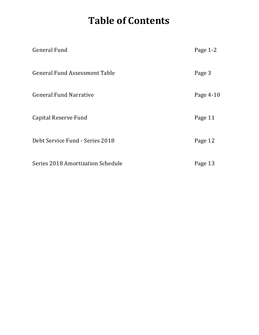## **Table of Contents**

| <b>General Fund</b>                  | Page 1-2  |
|--------------------------------------|-----------|
| <b>General Fund Assessment Table</b> | Page 3    |
| <b>General Fund Narrative</b>        | Page 4-10 |
| Capital Reserve Fund                 | Page 11   |
| Debt Service Fund - Series 2018      | Page 12   |
| Series 2018 Amortization Schedule    | Page 13   |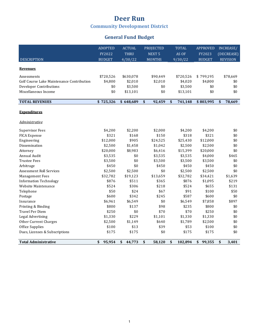### **Deer Run**

**Community Development District** 

### **General Fund Budget**

|                                           | <b>ADOPTED</b> | <b>ACTUAL</b> | <b>PROJECTED</b>  | <b>TOTAL</b>  | <b>APPROVED</b> | <b>INCREASE/</b> |
|-------------------------------------------|----------------|---------------|-------------------|---------------|-----------------|------------------|
|                                           | FY2022         | <b>THRU</b>   | NEXT <sub>5</sub> | AS OF         | FY2023          | (DECREASE)       |
| <b>DESCRIPTION</b>                        | <b>BUDGET</b>  | 4/30/22       | <b>MONTHS</b>     | 9/30/22       | <b>BUDGET</b>   | <b>REVISION</b>  |
|                                           |                |               |                   |               |                 |                  |
| <b>Revenues</b>                           |                |               |                   |               |                 |                  |
| Assessments                               | \$720,526      | \$630,078     | \$90,449          | \$720,526     | \$799,195       | \$78,669         |
| Golf Course Lake Maintenance Contribution | \$4,800        | \$2,010       | \$2,010           | \$4,020       | \$4,800         | \$0              |
| <b>Developer Contributions</b>            | \$0            | \$3,500       | \$0               | \$3,500       | \$0             | \$0              |
| Miscellaneous Income                      | \$0            | \$13,101      | \$0               | \$13,101      | \$0             | \$0              |
|                                           |                |               |                   |               |                 |                  |
| <b>TOTAL REVENUES</b>                     | \$725,326      | \$648,689     | \$<br>92,459      | \$<br>741,148 | \$803,995       | \$<br>78,669     |
|                                           |                |               |                   |               |                 |                  |
| <b>Expenditures</b>                       |                |               |                   |               |                 |                  |
| Administrative                            |                |               |                   |               |                 |                  |
|                                           |                |               |                   |               |                 |                  |
| <b>Supervisor Fees</b>                    | \$4,200        | \$2,200       | \$2,000           | \$4,200       | \$4,200         | \$0              |
| FICA Expense                              | \$321          | \$168         | \$150             | \$318         | \$321           | \$0              |
| Engineering                               | \$12,000       | \$905         | \$24,525          | \$25,430      | \$12,000        | \$0              |
| Dissemination                             | \$2,500        | \$1,458       | \$1,042           | \$2,500       | \$2,500         | \$0              |
| Attorney                                  | \$20,000       | \$8,983       | \$6,416           | \$15,399      | \$20,000        | \$0              |
| Annual Audit                              | \$3,535        | \$0           | \$3,535           | \$3,535       | \$4,000         | \$465            |
| <b>Trustee Fees</b>                       | \$3,500        | \$0           | \$3,500           | \$3,500       | \$3,500         | \$0              |
| Arbitrage                                 | \$450          | \$0           | \$450             | \$450         | \$450           | \$0              |
| <b>Assessment Roll Services</b>           | \$2,500        | \$2,500       | \$0               | \$2,500       | \$2,500         | \$0              |
| <b>Management Fees</b>                    | \$32,782       | \$19,123      | \$13,659          | \$32,782      | \$34,421        | \$1,639          |
| <b>Information Technology</b>             | \$876          | \$511         | \$365             | \$876         | \$1,095         | \$219            |
| Website Maintenance                       | \$524          | \$306         | \$218             | \$524         | \$655           | \$131            |
| Telephone                                 | \$50           | \$24          | \$67              | \$91          | \$100           | \$50             |
| Postage                                   | \$600          | \$342         | \$245             | \$587         | \$600           | \$0              |
| Insurance                                 | \$6,961        | \$6,549       | \$0               | \$6,549       | \$7,858         | \$897            |
| Printing & Binding                        | \$800          | \$137         | \$98              | \$235         | \$800           | \$0              |
| <b>Travel Per Diem</b>                    | \$250          | \$0           | \$70              | \$70          | \$250           | \$0              |
| Legal Advertising                         | \$1,330        | \$229         | \$1,101           | \$1,330       | \$1,330         | \$0              |
| Other Current Charges                     | \$2,500        | \$1,149       | \$640             | \$1,789       | \$2,500         | \$0              |
| Office Supplies                           | \$100          | \$13          | \$39              | \$53          | \$100           | \$0              |
| Dues, Licenses & Subscriptions            | \$175          | \$175         | \$0               | \$175         | \$175           | \$0              |
|                                           |                |               |                   |               |                 |                  |
| <b>Total Administrative</b>               | 95,954<br>\$   | 44,773<br>\$  | \$<br>58,120      | \$<br>102,894 | 99,355<br>\$    | \$<br>3,401      |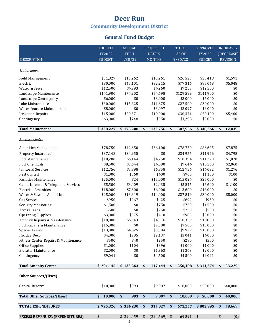### **General Fund Budget**

|                                       | <b>ADOPTED</b> | <b>ACTUAL</b>        |                   | <b>PROJECTED</b>  |                      | <b>TOTAL</b> | <b>APPROVED</b> |                   | INCREASE/       |
|---------------------------------------|----------------|----------------------|-------------------|-------------------|----------------------|--------------|-----------------|-------------------|-----------------|
|                                       | FY2022         | THRU                 |                   | NEXT <sub>5</sub> |                      | AS OF        | FY2023          |                   | (DECREASE)      |
| <b>DESCRIPTION</b>                    | <b>BUDGET</b>  | 4/30/22              |                   | <b>MONTHS</b>     |                      | 9/30/22      | <b>BUDGET</b>   |                   | <b>REVISION</b> |
|                                       |                |                      |                   |                   |                      |              |                 |                   |                 |
| Maintenance                           |                |                      |                   |                   |                      |              |                 |                   |                 |
| Field Management                      | \$31,827       | \$13,262             |                   | \$13,261          |                      | \$26,523     | \$33,418        |                   | \$1,591         |
| Electric                              | \$80,000       | \$45,101             |                   | \$32,215          |                      | \$77,316     | \$85,048        |                   | \$5,048         |
| Water & Sewer                         | \$12,500       | \$4,993              |                   | \$4,260           |                      | \$9,253      | \$12,500        |                   | \$0             |
| Landscape Maintenance                 | \$141,900      | \$74,902             |                   | \$54,698          |                      | \$129,599    | \$141,900       |                   | \$0             |
| Landscape Contingency                 | \$6,000        | \$0                  |                   | \$3,000           |                      | \$3,000      | \$6,000         |                   | \$0             |
| Lake Maintenance                      | \$30,000       | \$15,825             |                   | \$11,675          |                      | \$27,500     | \$30,000        |                   | \$0             |
| Water Feature Maintenance             | \$8,000        | \$0                  |                   | \$3,097           |                      | \$3,097      | \$8,000         |                   | \$0             |
| <b>Irrigation Repairs</b>             | \$15,000       | \$20,371             |                   | \$10,000          |                      | \$30,371     | \$20,400        |                   | \$5,400         |
| Contingency                           | \$3,000        | \$748                |                   | \$550             |                      | \$1,298      | \$3,000         |                   | \$0             |
|                                       |                |                      |                   |                   |                      |              |                 |                   |                 |
| <b>Total Maintenance</b>              | \$328,227      | \$175,200            | \$                | 132,756           | \$                   | 307,956      | \$340,266       | \$                | 12,039          |
| <b>Amenity Center</b>                 |                |                      |                   |                   |                      |              |                 |                   |                 |
| Amenities Management                  | \$78,750       | \$42,650             |                   | \$36,100          |                      | \$78,750     | \$86,625        |                   | \$7,875         |
| Property Insurance                    | \$37,148       | \$34,955             |                   | \$0               |                      | \$34,955     | \$41,946        |                   | \$4,798         |
| Pool Maintenance                      | \$10,200       | \$6,144              |                   | \$4,250           |                      | \$10,394     | \$11,220        |                   | \$1,020         |
| Pool Chemicals                        | \$8,500        | \$5,644              |                   | \$4,000           |                      | \$9,644      | \$10,560        |                   | \$2,060         |
| Janitorial Services                   | \$12,756       | \$5,898              |                   | \$6,858           |                      | \$12,756     | \$14,032        |                   | \$1,276         |
| Pest Control                          | \$1,000        | \$560                |                   | \$400             |                      | \$960        | \$1,100         |                   | \$100           |
| <b>Facilities Maintenance</b>         | \$25,000       | \$24                 |                   | \$15,000          |                      | \$15,024     | \$25,000        |                   | \$0             |
| Cable, Internet & Telephone Services  | \$5,500        | \$3,409              |                   | \$2,435           |                      | \$5,845      | \$6,600         |                   | \$1,100         |
| Electric - Amenities                  | \$18,000       | \$7,600              |                   | \$6,000           |                      | \$13,600     | \$18,000        |                   | \$0             |
| Water & Sewer - Amenities             | \$25,000       | \$13,819             |                   | \$14,000          |                      | \$27,819     | \$30,000        |                   | \$5,000         |
| Gas Service                           | \$950          | \$267                |                   | \$425             |                      | \$692        | \$950           |                   | \$0             |
| <b>Security Monitoring</b>            | \$1,500        | \$0                  |                   | \$750             |                      | \$750        | \$1,500         |                   | \$0             |
| Access Cards                          | \$500          | \$0                  |                   | \$250             |                      | \$250        | \$500           |                   | \$0             |
| <b>Operating Supplies</b>             | \$3,000        | \$575                |                   | \$410             |                      | \$985        | \$3,000         |                   | \$0             |
| Amenity Repairs & Maintenance         | \$18,800       | \$6,043              |                   | \$4,316           |                      | \$10,359     | \$18,800        |                   | \$0             |
| Pool Repairs & Maintenance            | \$15,000       | \$0                  |                   | \$7,500           |                      | \$7,500      | \$15,000        |                   | \$0             |
| <b>Special Events</b>                 | \$13,000       | \$4,625              |                   | \$5,304           |                      | \$9,929      | \$13,000        |                   | \$0             |
| Holiday Décor                         | \$4,000        | \$905                |                   | \$2,137           |                      | \$3,041      | \$4,000         |                   | \$0             |
| Fitness Center Repairs & Maintenance  | \$500          | \$40                 |                   | \$250             |                      | \$290        | \$500           |                   | \$0             |
| Office Supplies                       | \$1,000        | \$104                |                   | \$896             |                      | \$1,000      | \$1,000         |                   | \$0             |
| Elevator Maintenance                  | \$2,000        | \$0                  |                   | \$1,363           |                      | \$1,363      | \$2,000         |                   | \$0             |
| Contingency                           | \$9,041        | \$0                  |                   | \$4,500           |                      | \$4,500      | \$9,041         |                   | \$0             |
| <b>Total Amenity Center</b>           | \$291,145      | \$133,263            | \$                | 117,144           | \$                   | 250,408      | \$314,374       | \$                | 23,229          |
|                                       |                |                      |                   |                   |                      |              |                 |                   |                 |
| Other Sources/(Uses)                  |                |                      |                   |                   |                      |              |                 |                   |                 |
| Capital Reserve                       | \$10,000       | \$993                |                   | \$9,007           |                      | \$10,000     | \$50,000        |                   | \$40,000        |
| Total Other Sources/(Uses)            | \$<br>10,000   | $\frac{1}{2}$<br>993 | $\boldsymbol{\$}$ | 9,007             | $\sqrt{\frac{1}{2}}$ | 10,000       | \$<br>50,000    | $\boldsymbol{\$}$ | 40,000          |
|                                       |                |                      |                   |                   | $\frac{1}{2}$        |              |                 |                   |                 |
| <b>TOTAL EXPENDITURES</b>             | \$725,326      | \$354,230            | \$                | 317,027           |                      | 671,257      | \$803,995       | \$                | 78,669          |
| <b>EXCESS REVENUES/(EXPENDITURES)</b> | \$             | \$294,459            | \$                | (224, 569)        | \$                   | 69,891       | \$              | \$                | (0)             |
|                                       |                | 2                    |                   |                   |                      |              |                 |                   |                 |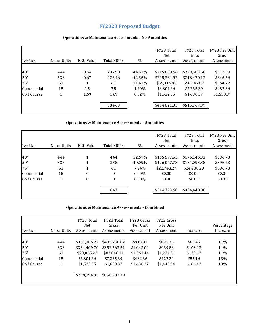### **FY2023 Proposed Budget**

| Lot Size    | No. of Units | <b>ERU Value</b> | Total ERU's | $\%$   | FY23 Total<br>Net<br>Assessments | FY23 Total<br>Gross<br>Assessments | FY23 Per Unit<br>Gross<br>Assessment |
|-------------|--------------|------------------|-------------|--------|----------------------------------|------------------------------------|--------------------------------------|
|             |              |                  |             |        |                                  |                                    |                                      |
| 40'         | 444          | 0.54             | 237.98      | 44.51% | \$215,808.66                     | \$229,583.68                       | \$517.08                             |
| 50'         | 338          | 0.67             | 226.46      | 42.36% | \$205,361.92                     | \$218,470.13                       | \$646.36                             |
| 75'         | 61           | 1                | 61          | 11.41% | \$55,316.95                      | \$58,847.82                        | \$964.72                             |
| Commercial  | 15           | 0.5              | 7.5         | 1.40%  | \$6,801.26                       | \$7,235.39                         | \$482.36                             |
| Golf Course | 1            | 1.69             | 1.69        | 0.32%  | \$1.532.55                       | \$1,630.37                         | \$1,630.37                           |
|             |              |                  | 534.63      |        | \$484.821.35                     | \$515.767.39                       |                                      |

#### **Operations & Maintenance Assessments - No Amenities**

#### **Operations & Maintenance Assessments - Amenities**

| Lot Size    | No. of Units | <b>ERU Value</b> | Total ERU's  | %        | FY23 Total<br>Net<br>Assessments | FY23 Total<br>Gross<br>Assessments | FY23 Per Unit<br>Gross<br>Assessment |
|-------------|--------------|------------------|--------------|----------|----------------------------------|------------------------------------|--------------------------------------|
|             |              |                  |              |          |                                  |                                    |                                      |
| 40'         | 444          | 1                | 444          | 52.67%   | \$165,577.55                     | \$176,146.33                       | \$396.73                             |
| 50'         | 338          | 1                | 338          | 40.09%   | \$126,047.78                     | \$134,093.38                       | \$396.73                             |
| 75'         | 61           | 1                | 61           | 7.24%    | \$22,748.27                      | \$24,200.28                        | \$396.73                             |
| Commercial  | 15           | $\boldsymbol{0}$ | $\mathbf{0}$ | $0.00\%$ | \$0.00                           | \$0.00                             | \$0.00                               |
| Golf Course | 1            | $\mathbf{0}$     | $\mathbf{0}$ | $0.00\%$ | \$0.00                           | \$0.00                             | \$0.00                               |
|             |              |                  | 843          |          | \$314,373.60                     | \$334.440.00                       |                                      |
|             |              |                  |              |          |                                  |                                    |                                      |

#### **Operations & Maintenance Assessments - Combined**

| Lot Size                                       | No. of Units                | FY23 Total<br>Net<br>Assessments                                                        | FY23 Total<br>Gross<br>Assessments                                                      | FY23 Gross<br>Per Unit<br>Assessment                           | FY22 Gross<br>Per Unit<br>Assessment                         | Increase                                               | Percentage<br>Increase          |
|------------------------------------------------|-----------------------------|-----------------------------------------------------------------------------------------|-----------------------------------------------------------------------------------------|----------------------------------------------------------------|--------------------------------------------------------------|--------------------------------------------------------|---------------------------------|
| 40'<br>50'<br>75'<br>Commercial<br>Golf Course | 444<br>338<br>61<br>15<br>1 | \$381,386.22<br>\$331,409.70<br>\$78,065.22<br>\$6.801.26<br>\$1.532.55<br>\$799.194.95 | \$405.730.02<br>\$352.563.51<br>\$83,048.11<br>\$7,235.39<br>\$1,630.37<br>\$850.207.39 | \$913.81<br>\$1,043.09<br>\$1.361.44<br>\$482.36<br>\$1.630.37 | \$825.36<br>\$939.86<br>\$1.221.81<br>\$427.20<br>\$1.443.94 | \$88.45<br>\$103.23<br>\$139.63<br>\$55.16<br>\$186.43 | 11%<br>11%<br>11%<br>13%<br>13% |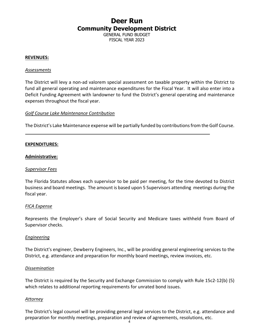GENERAL FUND BUDGET FISCAL YEAR 2023

#### **REVENUES:**

#### *Assessments*

The District will levy a non-ad valorem special assessment on taxable property within the District to fund all general operating and maintenance expenditures for the Fiscal Year. It will also enter into a Deficit Funding Agreement with landowner to fund the District's general operating and maintenance expenses throughout the fiscal year.

#### *Golf Course Lake Maintenance Contribution*

The District's Lake Maintenance expense will be partially funded by contributions from the Golf Course.

#### **EXPENDITURES:**

#### **Administrative:**

#### *Supervisor Fees*

The Florida Statutes allows each supervisor to be paid per meeting, for the time devoted to District business and board meetings. The amount is based upon 5 Supervisors attending meetings during the fiscal year.

#### *FICA Expense*

Represents the Employer's share of Social Security and Medicare taxes withheld from Board of Supervisor checks.

#### *Engineering*

The District's engineer, Dewberry Engineers, Inc., will be providing general engineering services to the District, e.g. attendance and preparation for monthly board meetings, review invoices, etc.

#### *Dissemination*

The District is required by the Security and Exchange Commission to comply with Rule 15c2-12(b) (5) which relates to additional reporting requirements for unrated bond issues.

#### *Attorney*

The District's legal counsel will be providing general legal services to the District, e.g. attendance and preparation for monthly meetings, preparation and review of agreements, resolutions, etc. 4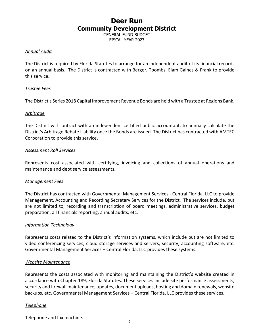GENERAL FUND BUDGET FISCAL YEAR 2023

#### *Annual Audit*

The District is required by Florida Statutes to arrange for an independent audit of its financial records on an annual basis. The District is contracted with Berger, Toombs, Elam Gaines & Frank to provide this service.

#### *Trustee Fees*

The District's Series 2018 Capital Improvement Revenue Bonds are held with a Trustee at Regions Bank.

#### *Arbitrage*

The District will contract with an independent certified public accountant, to annually calculate the District's Arbitrage Rebate Liability once the Bonds are issued. The District has contracted with AMTEC Corporation to provide this service.

#### *Assessment Roll Services*

Represents cost associated with certifying, invoicing and collections of annual operations and maintenance and debt service assessments.

#### *Management Fees*

The District has contracted with Governmental Management Services - Central Florida, LLC to provide Management, Accounting and Recording Secretary Services for the District. The services include, but are not limited to, recording and transcription of board meetings, administrative services, budget preparation, all financials reporting, annual audits, etc.

#### *Information Technology*

Represents costs related to the District's information systems, which include but are not limited to video conferencing services, cloud storage services and servers, security, accounting software, etc. Governmental Management Services – Central Florida, LLC provides these systems.

#### *Website Maintenance*

Represents the costs associated with monitoring and maintaining the District's website created in accordance with Chapter 189, Florida Statutes. These services include site performance assessments, security and firewall maintenance, updates, document uploads, hosting and domain renewals, website backups, etc. Governmental Management Services – Central Florida, LLC provides these services.

#### *Telephone*

Telephone and fax machine.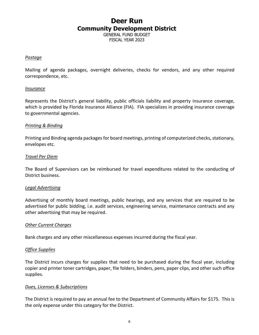GENERAL FUND BUDGET FISCAL YEAR 2023

#### *Postage*

Mailing of agenda packages, overnight deliveries, checks for vendors, and any other required correspondence, etc.

#### *Insurance*

Represents the District's general liability, public officials liability and property insurance coverage, which is provided by Florida Insurance Alliance (FIA). FIA specializes in providing insurance coverage to governmental agencies.

#### *Printing & Binding*

Printing and Binding agenda packages for board meetings, printing of computerized checks, stationary, envelopes etc.

#### *Travel Per Diem*

The Board of Supervisors can be reimbursed for travel expenditures related to the conducting of District business.

#### *Legal Advertising*

Advertising of monthly board meetings, public hearings, and any services that are required to be advertised for public bidding, i.e. audit services, engineering service, maintenance contracts and any other advertising that may be required.

#### *Other Current Charges*

Bank charges and any other miscellaneous expenses incurred during the fiscal year.

#### *Office Supplies*

The District incurs charges for supplies that need to be purchased during the fiscal year, including copier and printer toner cartridges, paper, file folders, binders, pens, paper clips, and other such office supplies.

#### *Dues, Licenses & Subscriptions*

The District is required to pay an annual fee to the Department of Community Affairs for \$175. This is the only expense under this category for the District.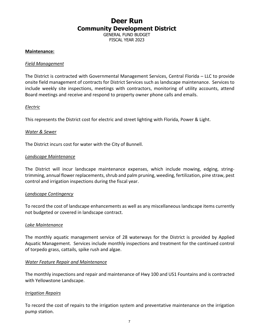GENERAL FUND BUDGET FISCAL YEAR 2023

#### **Maintenance:**

#### *Field Management*

The District is contracted with Governmental Management Services, Central Florida – LLC to provide onsite field management of contracts for District Services such as landscape maintenance. Services to include weekly site inspections, meetings with contractors, monitoring of utility accounts, attend Board meetings and receive and respond to property owner phone calls and emails.

#### *Electric*

This represents the District cost for electric and street lighting with Florida, Power & Light.

#### *Water & Sewer*

The District incurs cost for water with the City of Bunnell.

#### *Landscape Maintenance*

The District will incur landscape maintenance expenses, which include mowing, edging, stringtrimming, annual flower replacements, shrub and palm pruning, weeding, fertilization, pine straw, pest control and irrigation inspections during the fiscal year.

#### *Landscape Contingency*

To record the cost of landscape enhancements as well as any miscellaneous landscape items currently not budgeted or covered in landscape contract.

#### *Lake Maintenance*

The monthly aquatic management service of 28 waterways for the District is provided by Applied Aquatic Management. Services include monthly inspections and treatment for the continued control of torpedo grass, cattails, spike rush and algae.

#### *Water Feature Repair and Maintenance*

The monthly inspections and repair and maintenance of Hwy 100 and US1 Fountains and is contracted with Yellowstone Landscape.

#### *Irrigation Repairs*

To record the cost of repairs to the irrigation system and preventative maintenance on the irrigation pump station.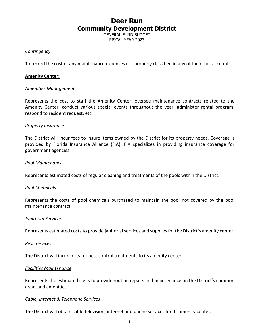GENERAL FUND BUDGET FISCAL YEAR 2023

#### *Contingency*

To record the cost of any maintenance expenses not properly classified in any of the other accounts.

#### **Amenity Center:**

#### *Amenities Management*

Represents the cost to staff the Amenity Center, oversee maintenance contracts related to the Amenity Center, conduct various special events throughout the year, administer rental program, respond to resident request, etc.

#### *Property Insurance*

The District will incur fees to insure items owned by the District for its property needs. Coverage is provided by Florida Insurance Alliance (FIA). FIA specializes in providing insurance coverage for government agencies.

#### *Pool Maintenance*

Represents estimated costs of regular cleaning and treatments of the pools within the District.

#### *Pool Chemicals*

Represents the costs of pool chemicals purchased to maintain the pool not covered by the pool maintenance contract.

#### *Janitorial Services*

Represents estimated costs to provide janitorial services and supplies for the District's amenity center.

#### *Pest Services*

The District will incur costs for pest control treatments to its amenity center.

#### *Facilities Maintenance*

Represents the estimated costs to provide routine repairs and maintenance on the District's common areas and amenities.

#### *Cable, Internet & Telephone Services*

The District will obtain cable television, internet and phone services for its amenity center.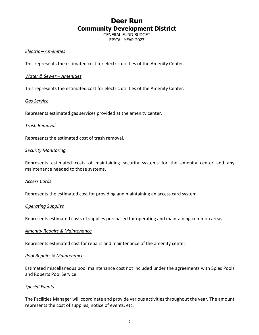GENERAL FUND BUDGET FISCAL YEAR 2023

#### *Electric – Amenities*

This represents the estimated cost for electric utilities of the Amenity Center.

#### *Water & Sewer – Amenities*

This represents the estimated cost for electric utilities of the Amenity Center.

#### *Gas Service*

Represents estimated gas services provided at the amenity center.

#### *Trash Removal*

Represents the estimated cost of trash removal.

#### *Security Monitoring*

Represents estimated costs of maintaining security systems for the amenity center and any maintenance needed to those systems.

#### *Access Cards*

Represents the estimated cost for providing and maintaining an access card system.

#### *Operating Supplies*

Represents estimated costs of supplies purchased for operating and maintaining common areas.

#### *Amenity Repairs & Maintenance*

Represents estimated cost for repairs and maintenance of the amenity center.

#### *Pool Repairs & Maintenance*

Estimated miscellaneous pool maintenance cost not included under the agreements with Spies Pools and Roberts Pool Service.

#### *Special Events*

The Facilities Manager will coordinate and provide various activities throughout the year. The amount represents the cost of supplies, notice of events, etc.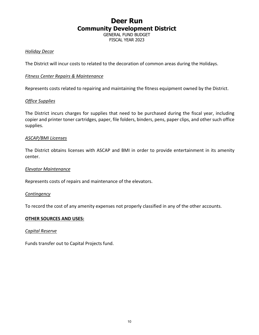GENERAL FUND BUDGET FISCAL YEAR 2023

#### *Holiday Decor*

The District will incur costs to related to the decoration of common areas during the Holidays.

#### *Fitness Center Repairs & Maintenance*

Represents costs related to repairing and maintaining the fitness equipment owned by the District.

#### *Office Supplies*

The District incurs charges for supplies that need to be purchased during the fiscal year, including copier and printer toner cartridges, paper, file folders, binders, pens, paper clips, and other such office supplies.

#### *ASCAP/BMI Licenses*

The District obtains licenses with ASCAP and BMI in order to provide entertainment in its amenity center.

#### *Elevator Maintenance*

Represents costs of repairs and maintenance of the elevators.

#### *Contingency*

To record the cost of any amenity expenses not properly classified in any of the other accounts.

#### **OTHER SOURCES AND USES:**

#### *Capital Reserve*

Funds transfer out to Capital Projects fund.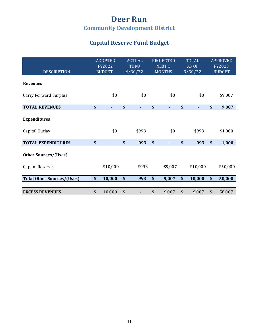### **Capital Reserve Fund Budget**

| <b>DESCRIPTION</b>                      | <b>ADOPTED</b><br><b>FY2022</b><br><b>BUDGET</b> | <b>ACTUAL</b><br><b>THRU</b><br>4/30/22 | <b>PROJECTED</b><br>NEXT <sub>5</sub><br><b>MONTHS</b> | <b>TOTAL</b><br>AS OF<br>9/30/22 | <b>APPROVED</b><br>FY2023<br><b>BUDGET</b> |
|-----------------------------------------|--------------------------------------------------|-----------------------------------------|--------------------------------------------------------|----------------------------------|--------------------------------------------|
| <b>Revenues</b>                         |                                                  |                                         |                                                        |                                  |                                            |
| <b>Carry Forward Surplus</b>            | \$0                                              | \$0                                     | \$0                                                    | \$0                              | \$9,007                                    |
| <b>TOTAL REVENUES</b>                   | \$                                               | \$<br>٠                                 | \$<br>٠                                                | \$<br>٠                          | \$<br>9,007                                |
| <b>Expenditures</b><br>Capital Outlay   | \$0                                              | \$993                                   | \$0                                                    | \$993                            | \$1,000                                    |
| <b>TOTAL EXPENDITURES</b>               | \$                                               | \$<br>993                               | \$                                                     | \$<br>993                        | \$<br>1,000                                |
| Other Sources/(Uses)<br>Capital Reserve | \$10,000                                         | \$993                                   | \$9,007                                                | \$10,000                         | \$50,000                                   |
| <b>Total Other Sources/(Uses)</b>       | \$<br>10,000                                     | \$<br>993                               | \$<br>9,007                                            | \$<br>10,000                     | \$<br>50,000                               |
|                                         |                                                  |                                         |                                                        |                                  |                                            |
| <b>EXCESS REVENUES</b>                  | \$<br>10,000                                     | \$                                      | \$<br>9,007                                            | \$<br>9,007                      | \$<br>58,007                               |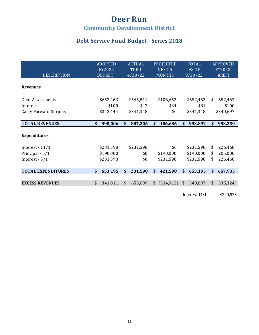## **Deer Run**

### **Community Development District**

### Debt Service Fund Budget - Series 2018

| <b>DESCRIPTION</b>           | <b>ADOPTED</b><br>FY2022<br><b>BUDGET</b> | <b>ACTUAL</b><br><b>THRU</b><br>4/30/22 | <b>PROJECTED</b><br>NEXT <sub>5</sub><br><b>MONTHS</b> | <b>TOTAL</b><br>AS OF<br>9/30/22 | <b>APPROVED</b><br>FY2023<br>#REF! |
|------------------------------|-------------------------------------------|-----------------------------------------|--------------------------------------------------------|----------------------------------|------------------------------------|
| <b>Revenues</b>              |                                           |                                         |                                                        |                                  |                                    |
| Debt Assessments             | \$652,463                                 | \$545,811                               | \$106,652                                              | \$652,463                        | \$<br>652,463                      |
| Interest                     | \$100                                     | \$47                                    | \$34                                                   | \$81                             | \$100                              |
| <b>Carry Forward Surplus</b> | \$342,444                                 | \$341,348                               | \$0                                                    | \$341,348                        | \$340,697                          |
| <b>TOTAL REVENUES</b>        | \$<br>995,006                             | \$<br>887,206                           | \$<br>106,686                                          | \$<br>993,892                    | \$<br>993,259                      |
| <b>Expenditures</b>          |                                           |                                         |                                                        |                                  |                                    |
| Interest - $11/1$            | \$231,598                                 | \$231,598                               | \$0                                                    | \$231,598                        | \$<br>226,468                      |
| Principal - 5/1              | \$190,000                                 | \$0                                     | \$190,000                                              | \$190,000                        | \$<br>205,000                      |
| Interest - $5/1$             | \$231,598                                 | \$0                                     | \$231,598                                              | \$231,598                        | \$<br>226,468                      |
| <b>TOTAL EXPENDITURES</b>    | \$<br>653,195                             | \$<br>231,598                           | \$<br>421,598                                          | \$<br>653,195                    | \$<br>657,935                      |
|                              |                                           |                                         |                                                        |                                  |                                    |
| <b>EXCESS REVENUES</b>       | \$<br>341,811                             | \$<br>655,609                           | \$<br>(314, 912)                                       | \$<br>340,697                    | \$<br>335,324                      |
|                              |                                           |                                         |                                                        | Interest 11/1                    | \$220,933                          |